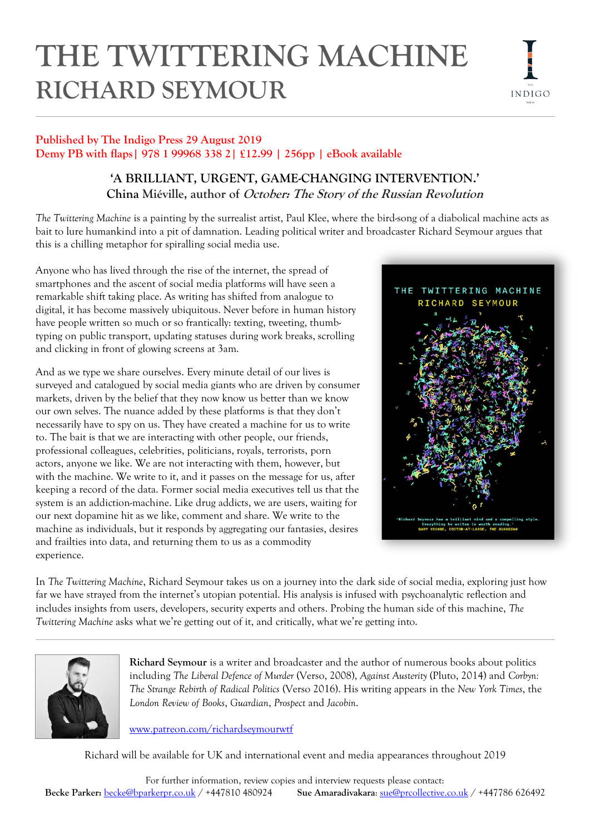# **THE TWITTERING MACHINE RICHARD SEYMOUR**



# **Published by The Indigo Press 29 August 2019 Demy PB with flaps| 978 1 99968 338 2| £12.99 | 256pp | eBook available**

# **'A BRILLIANT, URGENT, GAME-CHANGING INTERVENTION.' China Miéville, author of October: The Story of the Russian Revolution**

*The Twittering Machine* is a painting by the surrealist artist, Paul Klee, where the bird-song of a diabolical machine acts as bait to lure humankind into a pit of damnation. Leading political writer and broadcaster Richard Seymour argues that this is a chilling metaphor for spiralling social media use.

Anyone who has lived through the rise of the internet, the spread of smartphones and the ascent of social media platforms will have seen a remarkable shift taking place. As writing has shifted from analogue to digital, it has become massively ubiquitous. Never before in human history have people written so much or so frantically: texting, tweeting, thumbtyping on public transport, updating statuses during work breaks, scrolling and clicking in front of glowing screens at 3am.

And as we type we share ourselves. Every minute detail of our lives is surveyed and catalogued by social media giants who are driven by consumer markets, driven by the belief that they now know us better than we know our own selves. The nuance added by these platforms is that they don't necessarily have to spy on us. They have created a machine for us to write to. The bait is that we are interacting with other people, our friends, professional colleagues, celebrities, politicians, royals, terrorists, porn actors, anyone we like. We are not interacting with them, however, but with the machine. We write to it, and it passes on the message for us, after keeping a record of the data. Former social media executives tell us that the system is an addiction-machine. Like drug addicts, we are users, waiting for our next dopamine hit as we like, comment and share. We write to the machine as individuals, but it responds by aggregating our fantasies, desires and frailties into data, and returning them to us as a commodity experience.



In *The Twittering Machine*, Richard Seymour takes us on a journey into the dark side of social media, exploring just how far we have strayed from the internet's utopian potential. His analysis is infused with psychoanalytic reflection and includes insights from users, developers, security experts and others. Probing the human side of this machine, *The Twittering Machine* asks what we're getting out of it, and critically, what we're getting into.



**Richard Seymour** is a writer and broadcaster and the author of numerous books about politics including *The Liberal Defence of Murder* (Verso, 2008), *Against Austerity* (Pluto, 2014) and *Corbyn: The Strange Rebirth of Radical Politics* (Verso 2016). His writing appears in the *New York Times*, the *London Review of Books*, *Guardian*, *Prospect* and *Jacobin*.

[www.patreon.com/richardseymourwtf](http://www.patreon.com/richardseymourwtf)

Richard will be available for UK and international event and media appearances throughout 2019